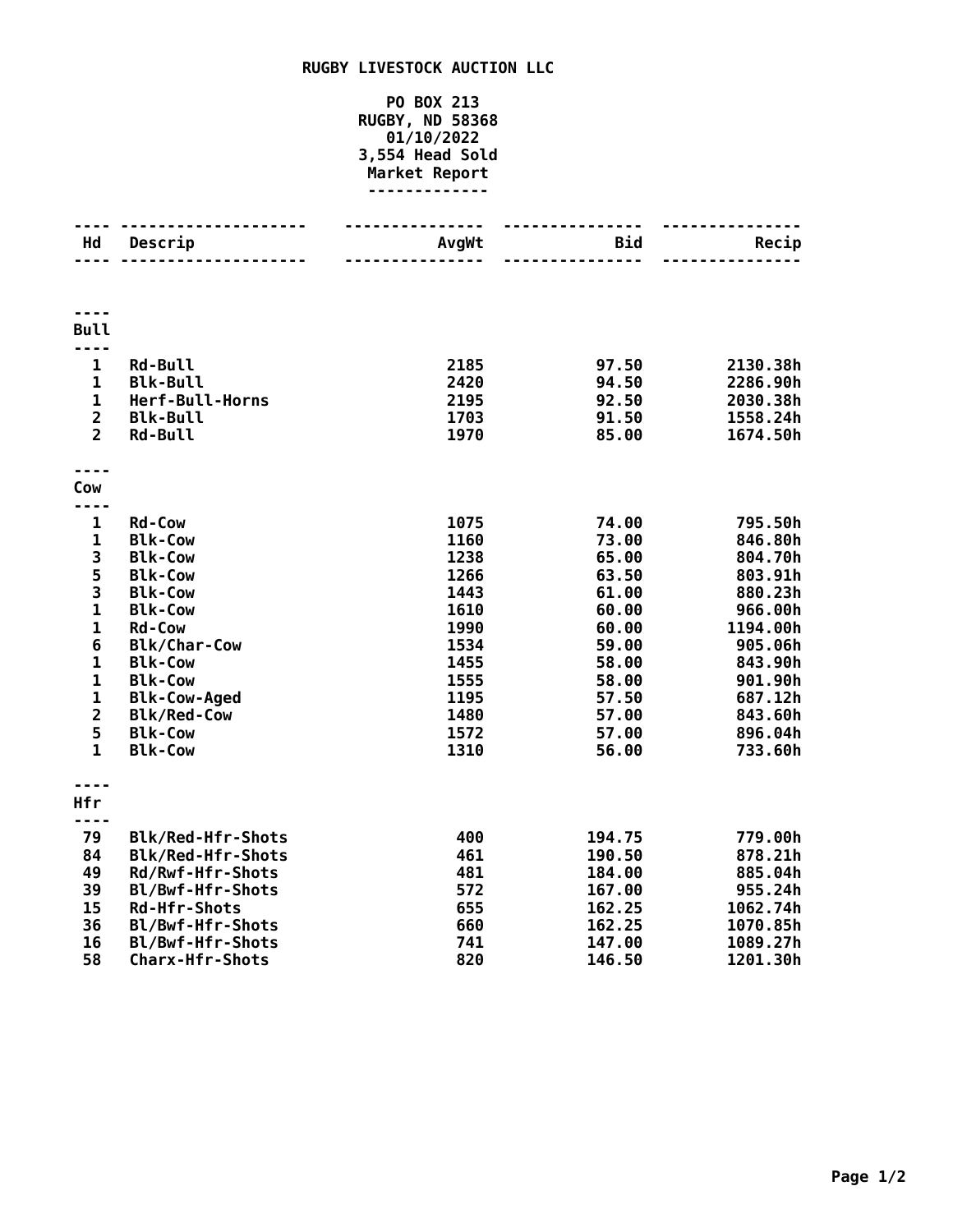## **RUGBY LIVESTOCK AUCTION LLC**

## **PO BOX 213 RUGBY, ND 58368 01/10/2022 3,554 Head Sold Market Report -------------**

| <b>Hd</b>                        | Descrip<br>.             | <b>AvgWt</b> | <b>Bid</b> | Recip    |
|----------------------------------|--------------------------|--------------|------------|----------|
|                                  |                          |              |            |          |
|                                  |                          |              |            |          |
|                                  |                          |              |            |          |
|                                  |                          |              |            |          |
| <b>Bull</b>                      |                          |              |            |          |
| $- - - -$                        |                          |              |            |          |
| 1                                | <b>Rd-Bull</b>           | 2185         | 97.50      | 2130.38h |
| $\mathbf{1}$                     | <b>Blk-Bull</b>          | 2420         | 94.50      | 2286.90h |
| $\mathbf{1}$                     | Herf-Bull-Horns          | 2195         | 92.50      | 2030.38h |
| $\overline{2}$<br>$\overline{2}$ | <b>Blk-Bull</b>          | 1703         | 91.50      | 1558.24h |
|                                  | <b>Rd-Bull</b>           | 1970         | 85.00      | 1674.50h |
|                                  |                          |              |            |          |
| Cow                              |                          |              |            |          |
|                                  |                          |              |            |          |
| $\mathbf{1}$                     | <b>Rd-Cow</b>            | 1075         | 74.00      | 795.50h  |
| $\mathbf{1}$                     | <b>Blk-Cow</b>           | 1160         | 73.00      | 846.80h  |
| 3                                | <b>Blk-Cow</b>           | 1238         | 65.00      | 804.70h  |
| 5                                | <b>Blk-Cow</b>           | 1266         | 63.50      | 803.91h  |
| 3                                | <b>Blk-Cow</b>           | 1443         | 61.00      | 880.23h  |
| $\mathbf{1}$                     | <b>Blk-Cow</b>           | 1610         | 60.00      | 966.00h  |
| $\mathbf 1$                      | <b>Rd-Cow</b>            | 1990         | 60.00      | 1194.00h |
| 6                                | <b>Blk/Char-Cow</b>      | 1534         | 59.00      | 905.06h  |
| $\mathbf 1$                      | <b>Blk-Cow</b>           | 1455         | 58.00      | 843.90h  |
| $\mathbf 1$                      | <b>Blk-Cow</b>           | 1555         | 58.00      | 901.90h  |
| $\mathbf 1$                      | <b>Blk-Cow-Aged</b>      | 1195         | 57.50      | 687.12h  |
| $\overline{2}$                   | <b>Blk/Red-Cow</b>       | 1480         | 57.00      | 843.60h  |
| 5                                | <b>Blk-Cow</b>           | 1572         | 57.00      | 896.04h  |
| $\mathbf{1}$                     | <b>Blk-Cow</b>           | 1310         | 56.00      | 733.60h  |
|                                  |                          |              |            |          |
|                                  |                          |              |            |          |
| <b>Hfr</b>                       |                          |              |            |          |
|                                  |                          |              |            |          |
| 79                               | <b>Blk/Red-Hfr-Shots</b> | 400          | 194.75     | 779.00h  |
| 84                               | Blk/Red-Hfr-Shots        | 461          | 190.50     | 878.21h  |
| 49                               | Rd/Rwf-Hfr-Shots         | 481          | 184.00     | 885.04h  |
| 39                               | Bl/Bwf-Hfr-Shots         | 572          | 167.00     | 955.24h  |
| 15                               | <b>Rd-Hfr-Shots</b>      | 655          | 162.25     | 1062.74h |
| 36                               | Bl/Bwf-Hfr-Shots         | 660          | 162.25     | 1070.85h |
| 16                               | Bl/Bwf-Hfr-Shots         | 741          | 147.00     | 1089.27h |
| 58                               | <b>Charx-Hfr-Shots</b>   | 820          | 146.50     | 1201.30h |